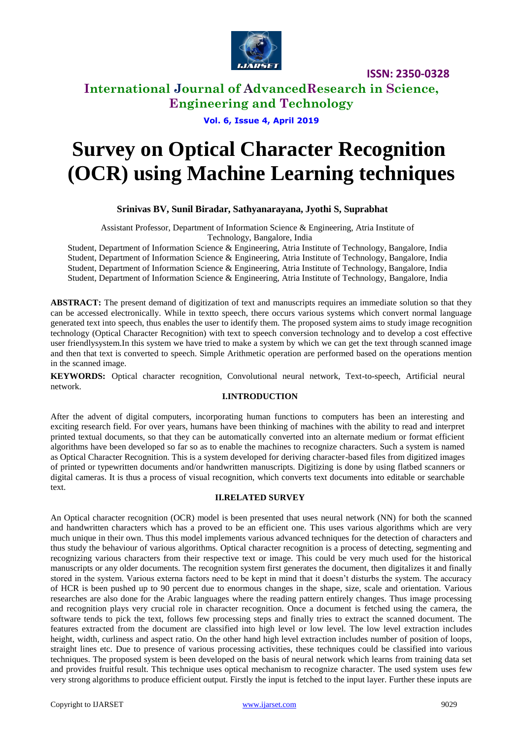

**ISSN: 2350-0328**

# **International Journal of AdvancedResearch in Science, Engineering and Technology**

## **Vol. 6, Issue 4, April 2019**

# **Survey on Optical Character Recognition (OCR) using Machine Learning techniques**

### **Srinivas BV, Sunil Biradar, Sathyanarayana, Jyothi S, Suprabhat**

Assistant Professor, Department of Information Science & Engineering, Atria Institute of Technology, Bangalore, India

Student, Department of Information Science & Engineering, Atria Institute of Technology, Bangalore, India Student, Department of Information Science & Engineering, Atria Institute of Technology, Bangalore, India Student, Department of Information Science & Engineering, Atria Institute of Technology, Bangalore, India Student, Department of Information Science & Engineering, Atria Institute of Technology, Bangalore, India

**ABSTRACT:** The present demand of digitization of text and manuscripts requires an immediate solution so that they can be accessed electronically. While in textto speech, there occurs various systems which convert normal language generated text into speech, thus enables the user to identify them. The proposed system aims to study image recognition technology (Optical Character Recognition) with text to speech conversion technology and to develop a cost effective user friendlysystem.In this system we have tried to make a system by which we can get the text through scanned image and then that text is converted to speech. Simple Arithmetic operation are performed based on the operations mention in the scanned image.

 **KEYWORDS:** Optical character recognition, Convolutional neural network, Text-to-speech, Artificial neural network.

#### **I.INTRODUCTION**

After the advent of digital computers, incorporating human functions to computers has been an interesting and exciting research field. For over years, humans have been thinking of machines with the ability to read and interpret printed textual documents, so that they can be automatically converted into an alternate medium or format efficient algorithms have been developed so far so as to enable the machines to recognize characters. Such a system is named as Optical Character Recognition. This is a system developed for deriving character-based files from digitized images of printed or typewritten documents and/or handwritten manuscripts. Digitizing is done by using flatbed scanners or digital cameras. It is thus a process of visual recognition, which converts text documents into editable or searchable text.

#### **II.RELATED SURVEY**

An Optical character recognition (OCR) model is been presented that uses neural network (NN) for both the scanned and handwritten characters which has a proved to be an efficient one. This uses various algorithms which are very much unique in their own. Thus this model implements various advanced techniques for the detection of characters and thus study the behaviour of various algorithms. Optical character recognition is a process of detecting, segmenting and recognizing various characters from their respective text or image. This could be very much used for the historical manuscripts or any older documents. The recognition system first generates the document, then digitalizes it and finally stored in the system. Various externa factors need to be kept in mind that it doesn't disturbs the system. The accuracy of HCR is been pushed up to 90 percent due to enormous changes in the shape, size, scale and orientation. Various researches are also done for the Arabic languages where the reading pattern entirely changes. Thus image processing and recognition plays very crucial role in character recognition. Once a document is fetched using the camera, the software tends to pick the text, follows few processing steps and finally tries to extract the scanned document. The features extracted from the document are classified into high level or low level. The low level extraction includes height, width, curliness and aspect ratio. On the other hand high level extraction includes number of position of loops, straight lines etc. Due to presence of various processing activities, these techniques could be classified into various techniques. The proposed system is been developed on the basis of neural network which learns from training data set and provides fruitful result. This technique uses optical mechanism to recognize character. The used system uses few very strong algorithms to produce efficient output. Firstly the input is fetched to the input layer. Further these inputs are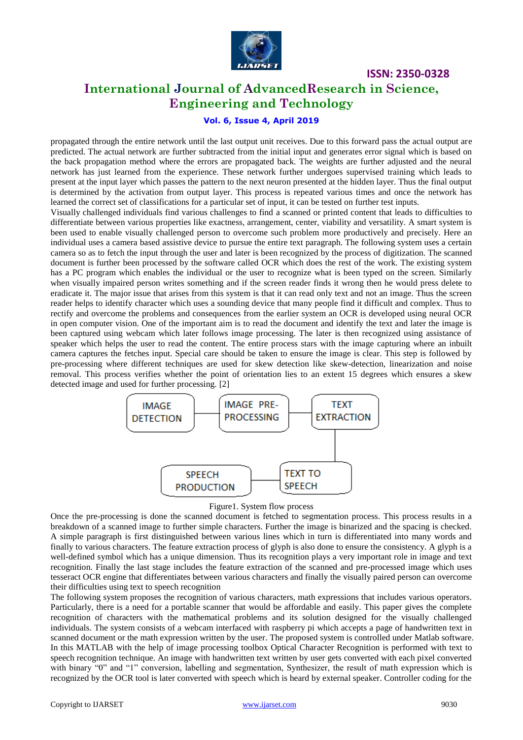

**ISSN: 2350-0328**

# **International Journal of AdvancedResearch in Science, Engineering and Technology**

#### **Vol. 6, Issue 4, April 2019**

propagated through the entire network until the last output unit receives. Due to this forward pass the actual output are predicted. The actual network are further subtracted from the initial input and generates error signal which is based on the back propagation method where the errors are propagated back. The weights are further adjusted and the neural network has just learned from the experience. These network further undergoes supervised training which leads to present at the input layer which passes the pattern to the next neuron presented at the hidden layer. Thus the final output is determined by the activation from output layer. This process is repeated various times and once the network has learned the correct set of classifications for a particular set of input, it can be tested on further test inputs.

Visually challenged individuals find various challenges to find a scanned or printed content that leads to difficulties to differentiate between various properties like exactness, arrangement, center, viability and versatility. A smart system is been used to enable visually challenged person to overcome such problem more productively and precisely. Here an individual uses a camera based assistive device to pursue the entire text paragraph. The following system uses a certain camera so as to fetch the input through the user and later is been recognized by the process of digitization. The scanned document is further been processed by the software called OCR which does the rest of the work. The existing system has a PC program which enables the individual or the user to recognize what is been typed on the screen. Similarly when visually impaired person writes something and if the screen reader finds it wrong then he would press delete to eradicate it. The major issue that arises from this system is that it can read only text and not an image. Thus the screen reader helps to identify character which uses a sounding device that many people find it difficult and complex. Thus to rectify and overcome the problems and consequences from the earlier system an OCR is developed using neural OCR in open computer vision. One of the important aim is to read the document and identify the text and later the image is been captured using webcam which later follows image processing. The later is then recognized using assistance of speaker which helps the user to read the content. The entire process stars with the image capturing where an inbuilt camera captures the fetches input. Special care should be taken to ensure the image is clear. This step is followed by pre-processing where different techniques are used for skew detection like skew-detection, linearization and noise removal. This process verifies whether the point of orientation lies to an extent 15 degrees which ensures a skew detected image and used for further processing. [2]



#### Figure1. System flow process

Once the pre-processing is done the scanned document is fetched to segmentation process. This process results in a breakdown of a scanned image to further simple characters. Further the image is binarized and the spacing is checked. A simple paragraph is first distinguished between various lines which in turn is differentiated into many words and finally to various characters. The feature extraction process of glyph is also done to ensure the consistency. A glyph is a well-defined symbol which has a unique dimension. Thus its recognition plays a very important role in image and text recognition. Finally the last stage includes the feature extraction of the scanned and pre-processed image which uses tesseract OCR engine that differentiates between various characters and finally the visually paired person can overcome their difficulties using text to speech recognition

The following system proposes the recognition of various characters, math expressions that includes various operators. Particularly, there is a need for a portable scanner that would be affordable and easily. This paper gives the complete recognition of characters with the mathematical problems and its solution designed for the visually challenged individuals. The system consists of a webcam interfaced with raspberry pi which accepts a page of handwritten text in scanned document or the math expression written by the user. The proposed system is controlled under Matlab software. In this MATLAB with the help of image processing toolbox Optical Character Recognition is performed with text to speech recognition technique. An image with handwritten text written by user gets converted with each pixel converted with binary "0" and "1" conversion, labelling and segmentation, Synthesizer, the result of math expression which is recognized by the OCR tool is later converted with speech which is heard by external speaker. Controller coding for the